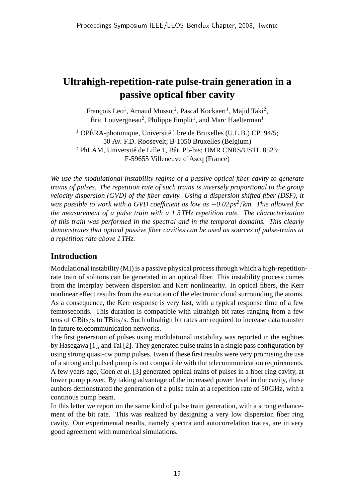# **Ultrahigh-repetition-rate pulse-train generation in a passive optical fiber cavity**

François Leo<sup>1</sup>, Arnaud Mussot<sup>2</sup>, Pascal Kockaert<sup>1</sup>, Majid Taki<sup>2</sup>, Éric Louvergneau<sup>2</sup>, Philippe Emplit<sup>1</sup>, and Marc Haelterman<sup>1</sup>

<sup>1</sup> OPÉRA-photonique, Université libre de Bruxelles (U.L.B.) CP194/5; 50 Av. F.D. Roosevelt; B-1050 Bruxelles (Belgium)  $2$  PhLAM, Université de Lille 1, Bât. P5-bis; UMR CNRS/USTL 8523; F-59655 Villeneuve d'Ascq (France)

*We use the modulational instability regime of a passive optical fiber cavity to generate trains of pulses. The repetition rate of such trains is inversely proportional to the group velocity dispersion (GVD) of the fiber cavity. Using a dispersion shifted fiber (DSF), it was possible to work with a GVD coefficient as low as* −*0*.*02ps2*/*km. This allowed for the measurement of a pulse train with a 1*.*5THz repetition rate. The characterization of this train was performed in the spectral and in the temporal domains. This clearly demonstrates that optical passive fiber cavities can be used as sources of pulse-trains at a repetition rate above 1THz.*

## **Introduction**

Modulational instability (MI) is a passive physical process through which a high-repetitionrate train of solitons can be generated in an optical fiber. This instability process comes from the interplay between dispersion and Kerr nonlinearity. In optical fibers, the Kerr nonlinear effect results from the excitation of the electronic cloud surrounding the atoms. As a consequence, the Kerr response is very fast, with a typical response time of a few femtoseconds. This duration is compatible with ultrahigh bit rates ranging from a few tens of GBits/s to TBits/s. Such ultrahigh bit rates are required to increase data transfer in future telecommunication networks.

The first generation of pulses using modulational instability was reported in the eighties by Hasegawa [1], and Tai [2]. They generated pulse trains in a single pass configuration by using strong quasi-cw pump pulses. Even if these first results were very promising the use of a strong and pulsed pump is not compatible with the telecommunication requirements. A few years ago, Coen *et al.* [3] generated optical trains of pulses in a fiber ring cavity, at lower pump power. By taking advantage of the increased power level in the cavity, these authors demonstrated the generation of a pulse train at a repetition rate of 50GHz, with a continous pump beam.

In this letter we report on the same kind of pulse train generation, with a strong enhancement of the bit rate. This was realized by designing a very low dispersion fiber ring cavity. Our experimental results, namely spectra and autocorrelation traces, are in very good agreement with numerical simulations.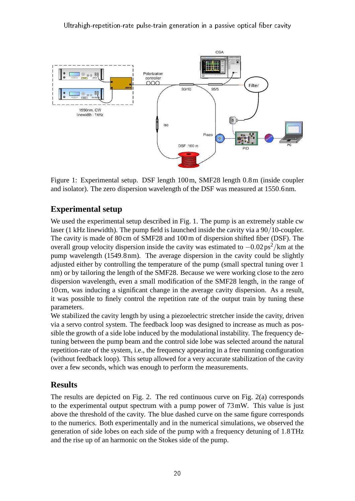

Figure 1: Experimental setup. DSF length 100m, SMF28 length 0.8m (inside coupler and isolator). The zero dispersion wavelength of the DSF was measured at 1550.6nm.

## **Experimental setup**

We used the experimental setup described in Fig. 1. The pump is an extremely stable cw laser (1 kHz linewidth). The pump field is launched inside the cavity via a 90/10-coupler. The cavity is made of 80cm of SMF28 and 100m of dispersion shifted fiber (DSF). The overall group velocity dispersion inside the cavity was estimated to  $-0.02 \text{ ps}^2/\text{km}$  at the pump wavelength (1549.8nm). The average dispersion in the cavity could be slightly adjusted either by controlling the temperature of the pump (small spectral tuning over 1 nm) or by tailoring the length of the SMF28. Because we were working close to the zero dispersion wavelength, even a small modification of the SMF28 length, in the range of 10cm, was inducing a significant change in the average cavity dispersion. As a result, it was possible to finely control the repetition rate of the output train by tuning these parameters.

We stabilized the cavity length by using a piezoelectric stretcher inside the cavity, driven via a servo control system. The feedback loop was designed to increase as much as possible the growth of a side lobe induced by the modulational instability. The frequency detuning between the pump beam and the control side lobe was selected around the natural repetition-rate of the system, i.e., the frequency appearing in a free running configuration (without feedback loop). This setup allowed for a very accurate stabilization of the cavity over a few seconds, which was enough to perform the measurements.

#### **Results**

The results are depicted on Fig. 2. The red continuous curve on Fig. 2(a) corresponds to the experimental output spectrum with a pump power of 73mW. This value is just above the threshold of the cavity. The blue dashed curve on the same figure corresponds to the numerics. Both experimentally and in the numerical simulations, we observed the generation of side lobes on each side of the pump with a frequency detuning of 1.8THz and the rise up of an harmonic on the Stokes side of the pump.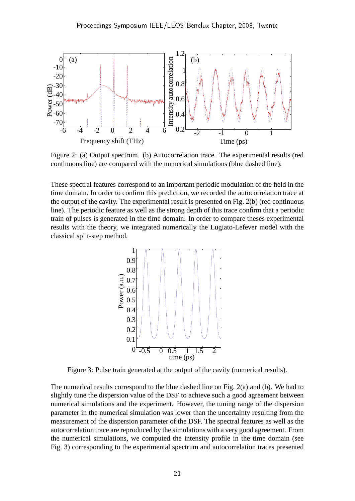

Figure 2: (a) Output spectrum. (b) Autocorrelation trace. The experimental results (red continuous line) are compared with the numerical simulations (blue dashed line).

These spectral features correspond to an important periodic modulation of the field in the time domain. In order to confirm this prediction, we recorded the autocorrelation trace at the output of the cavity. The experimental result is presented on Fig. 2(b) (red continuous line). The periodic feature as well as the strong depth of this trace confirm that a periodic train of pulses is generated in the time domain. In order to compare theses experimental results with the theory, we integrated numerically the Lugiato-Lefever model with the classical split-step method.



Figure 3: Pulse train generated at the output of the cavity (numerical results).

The numerical results correspond to the blue dashed line on Fig. 2(a) and (b). We had to slightly tune the dispersion value of the DSF to achieve such a good agreement between numerical simulations and the experiment. However, the tuning range of the dispersion parameter in the numerical simulation was lower than the uncertainty resulting from the measurement of the dispersion parameter of the DSF. The spectral features as well as the autocorrelation trace are reproduced by the simulations with a very good agreement. From the numerical simulations, we computed the intensity profile in the time domain (see Fig. 3) corresponding to the experimental spectrum and autocorrelation traces presented